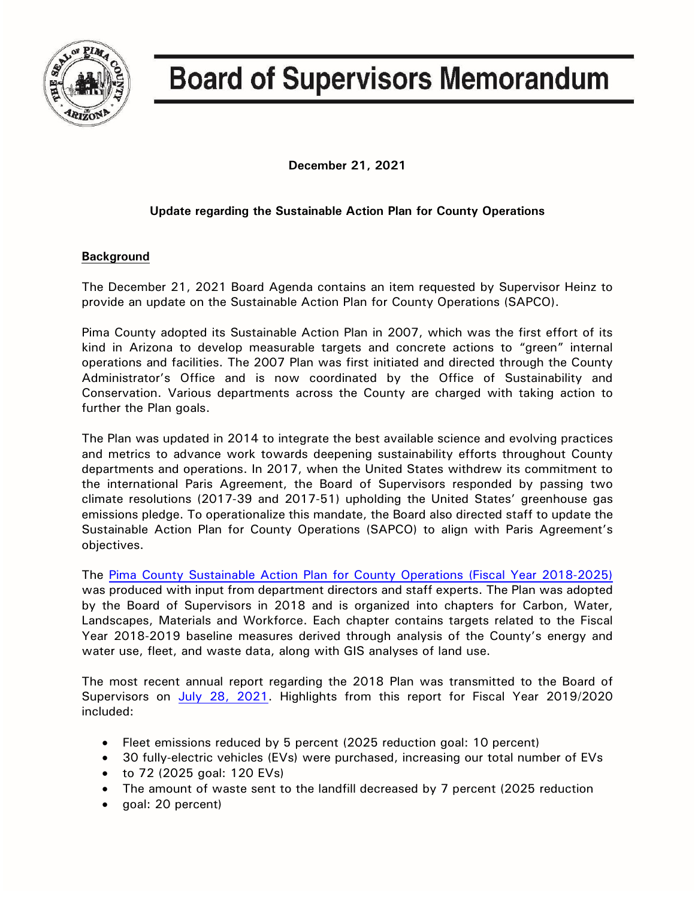

## **Board of Supervisors Memorandum**

**December 21, 2021**

## **Update regarding the Sustainable Action Plan for County Operations**

## **Background**

The December 21, 2021 Board Agenda contains an item requested by Supervisor Heinz to provide an update on the Sustainable Action Plan for County Operations (SAPCO).

Pima County adopted its Sustainable Action Plan in 2007, which was the first effort of its kind in Arizona to develop measurable targets and concrete actions to "green" internal operations and facilities. The 2007 Plan was first initiated and directed through the County Administrator's Office and is now coordinated by the Office of Sustainability and Conservation. Various departments across the County are charged with taking action to further the Plan goals.

The Plan was updated in 2014 to integrate the best available science and evolving practices and metrics to advance work towards deepening sustainability efforts throughout County departments and operations. In 2017, when the United States withdrew its commitment to the international Paris Agreement, the Board of Supervisors responded by passing two climate resolutions (2017-39 and 2017-51) upholding the United States' greenhouse gas emissions pledge. To operationalize this mandate, the Board also directed staff to update the Sustainable Action Plan for County Operations (SAPCO) to align with Paris Agreement's objectives.

The [Pima County Sustainable Action Plan for County Operations \(Fiscal Year](http://webcms.pima.gov/UserFiles/Servers/Server_6/File/Government/Office%20of%20Sustainability%20and%20Conservation/Newsroom/1816%20October/2018-Sustainable-Action-Plan-for-County-Operations.pdf) 2018-2025) was produced with input from department directors and staff experts. The Plan was adopted by the Board of Supervisors in 2018 and is organized into chapters for Carbon, Water, Landscapes, Materials and Workforce. Each chapter contains targets related to the Fiscal Year 2018-2019 baseline measures derived through analysis of the County's energy and water use, fleet, and waste data, along with GIS analyses of land use.

The most recent annual report regarding the 2018 Plan was transmitted to the Board of Supervisors on [July 28, 2021.](https://webcms.pima.gov/UserFiles/Servers/Server_6/File/Government/Administration/CHHmemosFor%20Web/2021/July/July%2028,%202021%20-%20Sustainable%20Action%20Plan%20for%20County%20Operations%20FY%202019-20%20Annual%20Report.pdf) Highlights from this report for Fiscal Year 2019/2020 included:

- Fleet emissions reduced by 5 percent (2025 reduction goal: 10 percent)
- 30 fully-electric vehicles (EVs) were purchased, increasing our total number of EVs
- to 72 (2025 goal: 120 EVs)
- The amount of waste sent to the landfill decreased by 7 percent (2025 reduction
- goal: 20 percent)